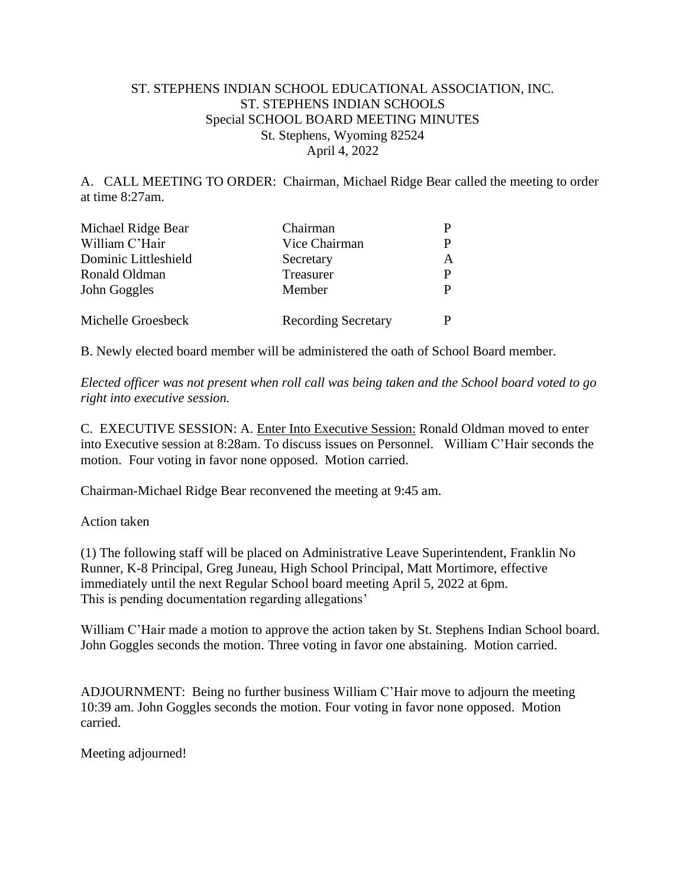## ST. STEPHENS INDIAN SCHOOL EDUCATIONAL ASSOCIATION, INC. ST. STEPHENS INDIAN SCHOOLS Special SCHOOL BOARD MEETING MINUTES St. Stephens, Wyoming 82524 April 4, 2022

A. CALL MEETING TO ORDER: Chairman, Michael Ridge Bear called the meeting to order at time 8:27am.

| Michael Ridge Bear   | Chairman                   | Р  |
|----------------------|----------------------------|----|
| William C'Hair       | Vice Chairman              | P  |
| Dominic Littleshield | Secretary                  | A  |
| Ronald Oldman        | Treasurer                  | P. |
| John Goggles         | Member                     | P  |
| Michelle Groesbeck   | <b>Recording Secretary</b> | P  |

B. Newly elected board member will be administered the oath of School Board member.

*Elected officer was not present when roll call was being taken and the School board voted to go right into executive session.* 

C. EXECUTIVE SESSION: A. Enter Into Executive Session: Ronald Oldman moved to enter into Executive session at 8:28am. To discuss issues on Personnel. William C'Hair seconds the motion. Four voting in favor none opposed. Motion carried.

Chairman-Michael Ridge Bear reconvened the meeting at 9:45 am.

Action taken

(1) The following staff will be placed on Administrative Leave Superintendent, Franklin No Runner, K-8 Principal, Greg Juneau, High School Principal, Matt Mortimore, effective immediately until the next Regular School board meeting April 5, 2022 at 6pm. This is pending documentation regarding allegations'

William C'Hair made a motion to approve the action taken by St. Stephens Indian School board. John Goggles seconds the motion. Three voting in favor one abstaining. Motion carried.

ADJOURNMENT:Being no further business William C'Hair move to adjourn the meeting 10:39 am. John Goggles seconds the motion. Four voting in favor none opposed. Motion carried.

Meeting adjourned!